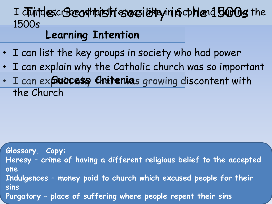### I chintlescribe out this life was lettey in inscribitend 500s the 1500s

### **Learning Intention**

- I can list the key groups in society who had power
- I can explain why the Catholic church was so important
- I can ex**pluacess chitenia**s growing discontent with the Church

**Glossary. Copy: Heresy – crime of having a different religious belief to the accepted one Indulgences – money paid to church which excused people for their sins Purgatory – place of suffering where people repent their sins**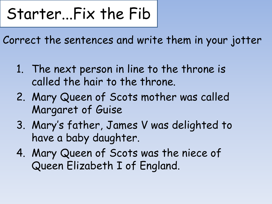# Starter...Fix the Fib

Correct the sentences and write them in your jotter

- 1. The next person in line to the throne is called the hair to the throne.
- 2. Mary Queen of Scots mother was called Margaret of Guise
- 3. Mary's father, James V was delighted to have a baby daughter.
- 4. Mary Queen of Scots was the niece of Queen Elizabeth I of England.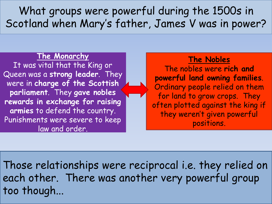What groups were powerful during the 1500s in Scotland when Mary's father, James V was in power?

#### **The Monarchy**

It was vital that the King or Queen was a **strong leader**. They were in **charge of the Scottish parliament**. They **gave nobles rewards in exchange for raising armies** to defend the country. Punishments were severe to keep law and order.

**The Nobles**  The nobles were **rich and powerful land owning families**. Ordinary people relied on them for land to grow crops. They often plotted against the king if they weren't given powerful positions.

Those relationships were reciprocal i.e. they relied on each other. There was another very powerful group too though...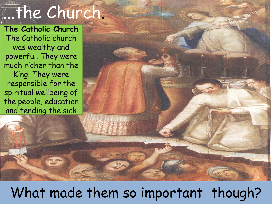# ...the Church.

**The Catholic Church** The Catholic church was wealthy and powerful. They were much richer than the King. They were responsible for the spiritual wellbeing of the people, education and tending the sick

닢

## What made them so important though?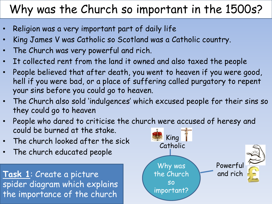## Why was the Church so important in the 1500s?

- Religion was a very important part of daily life
- King James V was Catholic so Scotland was a Catholic country.
- The Church was very powerful and rich.
- It collected rent from the land it owned and also taxed the people
- People believed that after death, you went to heaven if you were good, hell if you were bad, or a place of suffering called purgatory to repent your sins before you could go to heaven.
- The Church also sold 'indulgences' which excused people for their sins so they could go to heaven
- People who dared to criticise the church were accused of heresy and could be burned at the stake.
- The church looked after the sick
- The church educated people

**Task 1**: Create a picture spider diagram which explains the importance of the church

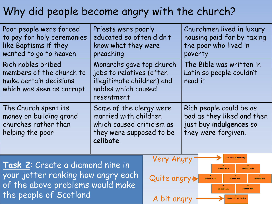## Why did people become angry with the church?

| Poor people were forced<br>to pay for holy ceremonies<br>like Baptisms if they<br>wanted to go to heaven                             | Priests were poorly<br>educated so often didn't<br>know what they were<br>preaching                                     |                   | Churchmen lived in luxury<br>housing paid for by taxing<br>the poor who lived in<br>poverty             |
|--------------------------------------------------------------------------------------------------------------------------------------|-------------------------------------------------------------------------------------------------------------------------|-------------------|---------------------------------------------------------------------------------------------------------|
| Rich nobles bribed<br>members of the church to<br>make certain decisions<br>which was seen as corrupt                                | Monarchs gave top church<br>jobs to relatives (often<br>illegitimate children) and<br>nobles which caused<br>resentment |                   | The Bible was written in<br>Latin so people couldn't<br>read it                                         |
| The Church spent its<br>money on building grand<br>churches rather than<br>helping the poor                                          | Some of the clergy were<br>married with children<br>which caused criticism as<br>they were supposed to be<br>celibate.  |                   | Rich people could be as<br>bad as they liked and then<br>just buy indulgences so<br>they were forgiven. |
| Task 2: Create a diamond nine in<br>your jotter ranking how angry each<br>of the above problems would make<br>the people of Scotland |                                                                                                                         | <b>Very Angry</b> | <b>HIGHEST priority</b><br><b>JOINT 2nd</b><br>JOINT 2nd                                                |
|                                                                                                                                      |                                                                                                                         | Quite angry>      | JOINT 3rd<br><b>JOINT 3rd</b><br><b>JOINT 3rd</b><br><b>JOINT 4th</b><br><b>JOINT 4th</b>               |
|                                                                                                                                      |                                                                                                                         | A bit angr        | <b>LOWEST priority</b>                                                                                  |